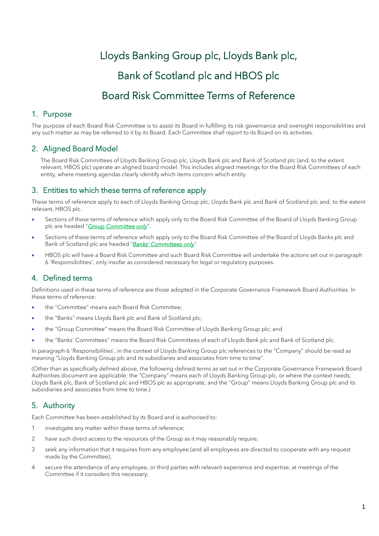# Lloyds Banking Group plc, Lloyds Bank plc, Bank of Scotland plc and HBOS plc Board Risk Committee Terms of Reference

# 1. Purpose

The purpose of each Board Risk Committee is to assist its Board in fulfilling its risk governance and oversight responsibilities and any such matter as may be referred to it by its Board. Each Committee shall report to its Board on its activities.

# 2. Aligned Board Model

The Board Risk Committees of Lloyds Banking Group plc, Lloyds Bank plc and Bank of Scotland plc (and, to the extent relevant, HBOS plc) operate an aligned board model. This includes aligned meetings for the Board Risk Committees of each entity, where meeting agendas clearly identify which items concern which entity.

# 3. Entities to which these terms of reference apply

These terms of reference apply to each of Lloyds Banking Group plc, Lloyds Bank plc and Bank of Scotland plc and, to the extent relevant, HBOS plc.

- Sections of these terms of reference which apply only to the Board Risk Committee of the Board of Lloyds Banking Group plc are headed "*Group Committee only*".
- Sections of these terms of reference which apply only to the Board Risk Committee of the Board of Lloyds Banks plc and Bank of Scotland plc are headed "*Banks' Committees only*".
- HBOS plc will have a Board Risk Committee and such Board Risk Committee will undertake the actions set out in paragraph 6 'Responsibilities', only insofar as considered necessary for legal or regulatory purposes.

# 4. Defined terms

Definitions used in these terms of reference are those adopted in the Corporate Governance Framework Board Authorities. In these terms of reference:

- the "Committee" means each Board Risk Committee;
- the "Banks" means Lloyds Bank plc and Bank of Scotland plc;
- the "Group Committee" means the Board Risk Committee of Lloyds Banking Group plc; and
- the "Banks' Committees" means the Board Risk Committees of each of Lloyds Bank plc and Bank of Scotland plc.

In paragraph 6 'Responsibilities', in the context of Lloyds Banking Group plc references to the "Company" should be read as meaning "Lloyds Banking Group plc and its subsidiaries and associates from time to time".

(Other than as specifically defined above, the following defined terms as set out in the Corporate Governance Framework Board Authorities document are applicable: the "Company" means each of Lloyds Banking Group plc, or where the context needs, Lloyds Bank plc, Bank of Scotland plc and HBOS plc as appropriate; and the "Group" means Lloyds Banking Group plc and its subsidiaries and associates from time to time.)

# 5. Authority

Each Committee has been established by its Board and is authorised to:

- 1 investigate any matter within these terms of reference;
- 2 have such direct access to the resources of the Group as it may reasonably require;
- 3 seek any information that it requires from any employee (and all employees are directed to cooperate with any request made by the Committee);
- 4 secure the attendance of any employee, or third parties with relevant experience and expertise, at meetings of the Committee if it considers this necessary;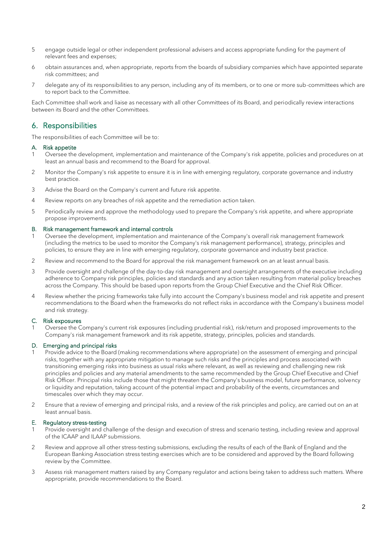- 5 engage outside legal or other independent professional advisers and access appropriate funding for the payment of relevant fees and expenses;
- 6 obtain assurances and, when appropriate, reports from the boards of subsidiary companies which have appointed separate risk committees; and
- 7 delegate any of its responsibilities to any person, including any of its members, or to one or more sub-committees which are to report back to the Committee.

Each Committee shall work and liaise as necessary with all other Committees of its Board, and periodically review interactions between its Board and the other Committees.

# 6. Responsibilities

The responsibilities of each Committee will be to:

#### A. Risk appetite

- Oversee the development, implementation and maintenance of the Company's risk appetite, policies and procedures on at least an annual basis and recommend to the Board for approval.
- 2 Monitor the Company's risk appetite to ensure it is in line with emerging regulatory, corporate governance and industry best practice.
- 3 Advise the Board on the Company's current and future risk appetite.
- 4 Review reports on any breaches of risk appetite and the remediation action taken.
- 5 Periodically review and approve the methodology used to prepare the Company's risk appetite, and where appropriate propose improvements.

#### B. Risk management framework and internal controls

- 1 Oversee the development, implementation and maintenance of the Company's overall risk management framework (including the metrics to be used to monitor the Company's risk management performance), strategy, principles and policies, to ensure they are in line with emerging regulatory, corporate governance and industry best practice.
- 2 Review and recommend to the Board for approval the risk management framework on an at least annual basis.
- 3 Provide oversight and challenge of the day-to-day risk management and oversight arrangements of the executive including adherence to Company risk principles, policies and standards and any action taken resulting from material policy breaches across the Company. This should be based upon reports from the Group Chief Executive and the Chief Risk Officer.
- 4 Review whether the pricing frameworks take fully into account the Company's business model and risk appetite and present recommendations to the Board when the frameworks do not reflect risks in accordance with the Company's business model and risk strategy.

#### C. Risk exposures

Oversee the Company's current risk exposures (including prudential risk), risk/return and proposed improvements to the Company's risk management framework and its risk appetite, strategy, principles, policies and standards.

#### D. Emerging and principal risks

- 1 Provide advice to the Board (making recommendations where appropriate) on the assessment of emerging and principal risks, together with any appropriate mitigation to manage such risks and the principles and process associated with transitioning emerging risks into business as usual risks where relevant, as well as reviewing and challenging new risk principles and policies and any material amendments to the same recommended by the Group Chief Executive and Chief Risk Officer. Principal risks include those that might threaten the Company's business model, future performance, solvency or liquidity and reputation, taking account of the potential impact and probability of the events, circumstances and timescales over which they may occur.
- 2 Ensure that a review of emerging and principal risks, and a review of the risk principles and policy, are carried out on an at least annual basis.

#### E. Regulatory stress-testing

- 1 Provide oversight and challenge of the design and execution of stress and scenario testing, including review and approval of the ICAAP and ILAAP submissions.
- 2 Review and approve all other stress-testing submissions, excluding the results of each of the Bank of England and the European Banking Association stress testing exercises which are to be considered and approved by the Board following review by the Committee.
- 3 Assess risk management matters raised by any Company regulator and actions being taken to address such matters. Where appropriate, provide recommendations to the Board.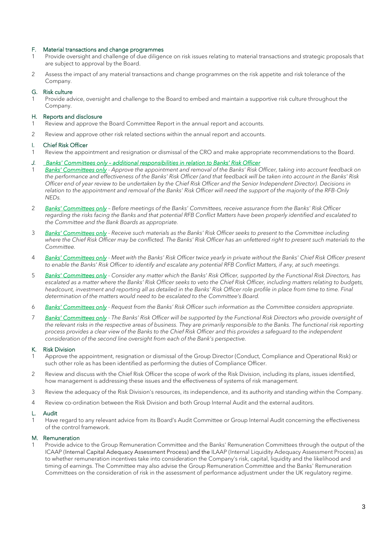## F. Material transactions and change programmes

- Provide oversight and challenge of due diligence on risk issues relating to material transactions and strategic proposals that are subject to approval by the Board.
- 2 Assess the impact of any material transactions and change programmes on the risk appetite and risk tolerance of the Company.

#### G. Risk culture

Provide advice, oversight and challenge to the Board to embed and maintain a supportive risk culture throughout the Company.

#### H. Reports and disclosure

- 1 Review and approve the Board Committee Report in the annual report and accounts.
- 2 Review and approve other risk related sections within the annual report and accounts.

#### I. Chief Risk Officer

- 1 Review the appointment and resignation or dismissal of the CRO and make appropriate recommendations to the Board.
- *J. Banks' Committees only – additional responsibilities in relation to Banks' Risk Officer*
- 1 *Banks' Committees only Approve the appointment and removal of the Banks' Risk Officer, taking into account feedback on the performance and effectiveness of the Banks' Risk Officer (and that feedback will be taken into account in the Banks' Risk Officer end of year review to be undertaken by the Chief Risk Officer and the Senior Independent Director). Decisions in relation to the appointment and removal of the Banks' Risk Officer will need the support of the majority of the RFB-Only NEDs.*
- 2 *Banks' Committees only Before meetings of the Banks' Committees, receive assurance from the Banks' Risk Officer regarding the risks facing the Banks and that potential RFB Conflict Matters have been properly identified and escalated to the Committee and the Bank Boards as appropriate.*
- 3 *Banks' Committees only Receive such materials as the Banks' Risk Officer seeks to present to the Committee including where the Chief Risk Officer may be conflicted. The Banks' Risk Officer has an unfettered right to present such materials to the Committee.*
- 4 *Banks' Committees only Meet with the Banks' Risk Officer twice yearly in private without the Banks' Chief Risk Officer present to enable the Banks' Risk Officer to identify and escalate any potential RFB Conflict Matters, if any, at such meetings.*
- 5 *Banks' Committees only Consider any matter which the Banks' Risk Officer, supported by the Functional Risk Directors, has escalated as a matter where the Banks' Risk Officer seeks to veto the Chief Risk Officer, including matters relating to budgets, headcount, investment and reporting all as detailed in the Banks' Risk Officer role profile in place from time to time. Final determination of the matters would need to be escalated to the Committee's Board.*
- 6 *Banks' Committees only Request from the Banks' Risk Officer such information as the Committee considers appropriate.*
- 7 *Banks' Committees only - The Banks' Risk Officer will be supported by the Functional Risk Directors who provide oversight of the relevant risks in the respective areas of business. They are primarily responsible to the Banks. The functional risk reporting process provides a clear view of the Banks to the Chief Risk Officer and this provides a safeguard to the independent consideration of the second line oversight from each of the Bank's perspective.*

#### K. Risk Division

- 1 Approve the appointment, resignation or dismissal of the Group Director (Conduct, Compliance and Operational Risk) or such other role as has been identified as performing the duties of Compliance Officer.
- 2 Review and discuss with the Chief Risk Officer the scope of work of the Risk Division, including its plans, issues identified, how management is addressing these issues and the effectiveness of systems of risk management.
- 3 Review the adequacy of the Risk Division's resources, its independence, and its authority and standing within the Company.
- 4 Review co-ordination between the Risk Division and both Group Internal Audit and the external auditors.

#### L. Audit

1 Have regard to any relevant advice from its Board's Audit Committee or Group Internal Audit concerning the effectiveness of the control framework.

#### M. Remuneration

1 Provide advice to the Group Remuneration Committee and the Banks' Remuneration Committees through the output of the ICAAP (Internal Capital Adequacy Assessment Process) and the ILAAP (Internal Liquidity Adequacy Assessment Process) as to whether remuneration incentives take into consideration the Company's risk, capital, liquidity and the likelihood and timing of earnings. The Committee may also advise the Group Remuneration Committee and the Banks' Remuneration Committees on the consideration of risk in the assessment of performance adjustment under the UK regulatory regime.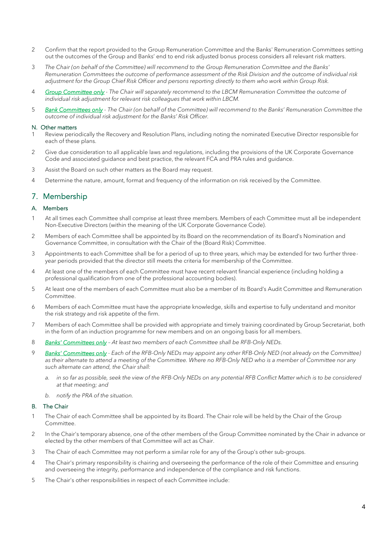- 2 Confirm that the report provided to the Group Remuneration Committee and the Banks' Remuneration Committees setting out the outcomes of the Group and Banks' end to end risk adjusted bonus process considers all relevant risk matters.
- 3 *The Chair (on behalf of the Committee) will recommend to the Group Remuneration Committee and the Banks' Remuneration Committees the outcome of performance assessment of the Risk Division and the outcome of individual risk adjustment for the Group Chief Risk Officer and persons reporting directly to them who work within Group Risk.*
- 4 *Group Committee only - The Chair will separately recommend to the LBCM Remuneration Committee the outcome of individual risk adjustment for relevant risk colleagues that work within LBCM.*
- 5 *Bank Committees only - The Chair (on behalf of the Committee) will recommend to the Banks' Remuneration Committee the outcome of individual risk adjustment for the Banks' Risk Officer.*

#### N. Other matters

- Review periodically the Recovery and Resolution Plans, including noting the nominated Executive Director responsible for each of these plans.
- 2 Give due consideration to all applicable laws and regulations, including the provisions of the UK Corporate Governance Code and associated guidance and best practice, the relevant FCA and PRA rules and guidance.
- 3 Assist the Board on such other matters as the Board may request.
- 4 Determine the nature, amount, format and frequency of the information on risk received by the Committee.

## 7. Membership

## A. Members

- 1 At all times each Committee shall comprise at least three members. Members of each Committee must all be independent Non-Executive Directors (within the meaning of the UK Corporate Governance Code).
- 2 Members of each Committee shall be appointed by its Board on the recommendation of its Board's Nomination and Governance Committee, in consultation with the Chair of the (Board Risk) Committee.
- 3 Appointments to each Committee shall be for a period of up to three years, which may be extended for two further threeyear periods provided that the director still meets the criteria for membership of the Committee.
- 4 At least one of the members of each Committee must have recent relevant financial experience (including holding a professional qualification from one of the professional accounting bodies).
- 5 At least one of the members of each Committee must also be a member of its Board's Audit Committee and Remuneration Committee.
- 6 Members of each Committee must have the appropriate knowledge, skills and expertise to fully understand and monitor the risk strategy and risk appetite of the firm.
- 7 Members of each Committee shall be provided with appropriate and timely training coordinated by Group Secretariat, both in the form of an induction programme for new members and on an ongoing basis for all members.
- 8 *Banks' Committees only – At least two members of each Committee shall be RFB-Only NEDs.*
- 9 *Banks' Committees only - Each of the RFB-Only NEDs may appoint any other RFB-Only NED (not already on the Committee) as their alternate to attend a meeting of the Committee. Where no RFB-Only NED who is a member of Committee nor any such alternate can attend, the Chair shall:* 
	- *a. in so far as possible, seek the view of the RFB-Only NEDs on any potential RFB Conflict Matter which is to be considered at that meeting; and*
	- *b. notify the PRA of the situation.*

#### B. The Chair

- 1 The Chair of each Committee shall be appointed by its Board. The Chair role will be held by the Chair of the Group Committee.
- 2 In the Chair's temporary absence, one of the other members of the Group Committee nominated by the Chair in advance or elected by the other members of that Committee will act as Chair.
- 3 The Chair of each Committee may not perform a similar role for any of the Group's other sub-groups.
- 4 The Chair's primary responsibility is chairing and overseeing the performance of the role of their Committee and ensuring and overseeing the integrity, performance and independence of the compliance and risk functions.
- 5 The Chair's other responsibilities in respect of each Committee include: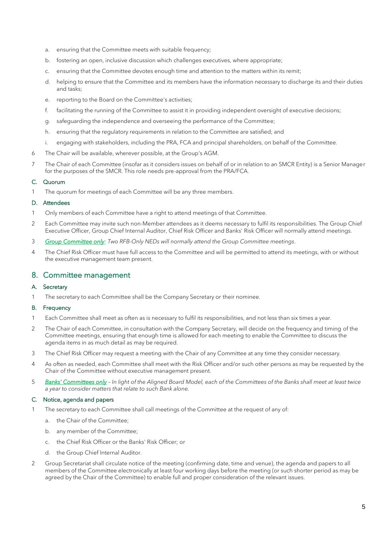- a. ensuring that the Committee meets with suitable frequency;
- b. fostering an open, inclusive discussion which challenges executives, where appropriate;
- c. ensuring that the Committee devotes enough time and attention to the matters within its remit;
- d. helping to ensure that the Committee and its members have the information necessary to discharge its and their duties and tasks;
- e. reporting to the Board on the Committee's activities;
- f. facilitating the running of the Committee to assist it in providing independent oversight of executive decisions;
- g. safeguarding the independence and overseeing the performance of the Committee;
- h. ensuring that the regulatory requirements in relation to the Committee are satisfied; and
- i. engaging with stakeholders, including the PRA, FCA and principal shareholders, on behalf of the Committee.
- 6 The Chair will be available, wherever possible, at the Group's AGM.
- 7 The Chair of each Committee (insofar as it considers issues on behalf of or in relation to an SMCR Entity) is a Senior Manager for the purposes of the SMCR. This role needs pre-approval from the PRA/FCA.

## C. Quorum

1 The quorum for meetings of each Committee will be any three members.

## D. Attendees

- 1 Only members of each Committee have a right to attend meetings of that Committee.
- 2 Each Committee may invite such non-Member attendees as it deems necessary to fulfil its responsibilities. The Group Chief Executive Officer, Group Chief Internal Auditor, Chief Risk Officer and Banks' Risk Officer will normally attend meetings.
- 3 *Group Committee only*: *Two RFB-Only NEDs will normally attend the Group Committee meetings*.
- 4 The Chief Risk Officer must have full access to the Committee and will be permitted to attend its meetings, with or without the executive management team present.

## 8. Committee management

## A. Secretary

1 The secretary to each Committee shall be the Company Secretary or their nominee.

## B. Frequency

- 1 Each Committee shall meet as often as is necessary to fulfil its responsibilities, and not less than six times a year.
- 2 The Chair of each Committee, in consultation with the Company Secretary, will decide on the frequency and timing of the Committee meetings, ensuring that enough time is allowed for each meeting to enable the Committee to discuss the agenda items in as much detail as may be required.
- 3 The Chief Risk Officer may request a meeting with the Chair of any Committee at any time they consider necessary.
- 4 As often as needed, each Committee shall meet with the Risk Officer and/or such other persons as may be requested by the Chair of the Committee without executive management present.
- 5 *Banks' Committees only – In light of the Aligned Board Model, each of the Committees of the Banks shall meet at least twice a year to consider matters that relate to such Bank alone.*

#### C. Notice, agenda and papers

- The secretary to each Committee shall call meetings of the Committee at the request of any of:
	- a. the Chair of the Committee;
	- b. any member of the Committee;
	- c. the Chief Risk Officer or the Banks' Risk Officer; or
	- d. the Group Chief Internal Auditor.
- 2 Group Secretariat shall circulate notice of the meeting (confirming date, time and venue), the agenda and papers to all members of the Committee electronically at least four working days before the meeting (or such shorter period as may be agreed by the Chair of the Committee) to enable full and proper consideration of the relevant issues.